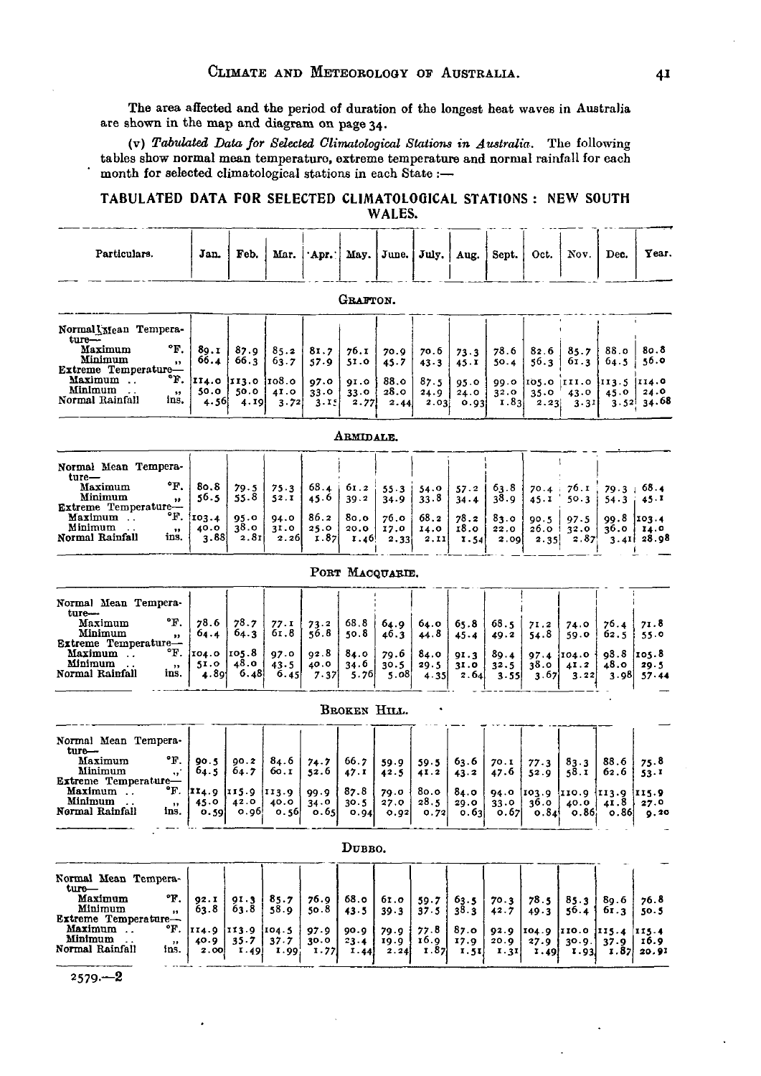The area affected and the period of duration of the longest heat waves in Australia are shown in the map and diagram on page 34.

(v) *Tabulated Data, for Selected Climatological Stations in Australia.* The following tables show normal mean temperature, extreme temperature and normal rainfall for each month for selected climatological stations in each State :-

## TABULATED **DATA FOR** SELECTED **CLIMATOLOGICAL STATIONS :** NEW SOUTH WALES.

| Particulars.                                                                                         | Jan.                              | Feb.                      | Mar.                  | 'Apr.'               | May.                 | June.                | July,                | Aug.                 | Sept.                | Oct.                  | Nov.                    | Dec.                                         | Үеал.                                    |
|------------------------------------------------------------------------------------------------------|-----------------------------------|---------------------------|-----------------------|----------------------|----------------------|----------------------|----------------------|----------------------|----------------------|-----------------------|-------------------------|----------------------------------------------|------------------------------------------|
|                                                                                                      |                                   |                           |                       |                      | GRAFTON.             |                      |                      |                      |                      |                       |                         |                                              |                                          |
| Normal Mean Tempera-                                                                                 |                                   |                           |                       |                      |                      |                      |                      |                      |                      |                       |                         |                                              |                                          |
| $turn -$<br>°F.<br>Maximum<br>Minimum<br>$\mathbf{H}$<br>Extreme Temperature-                        | 89.I<br>66.4                      | 87.9<br>66.3              | 85.2<br>63.7          | 81.7<br>57.9         | 76.I<br>51.0         | 70.9<br>45.7         | 70.6<br>43.3         | 73.3<br>45.1         | 78.6<br>50.4         | 82.6<br>56.3          | 85.7<br>61.3            | 88.0<br>64.5                                 | 80.8<br>56.0                             |
| °ዦ.<br>Maximum<br>Minimum<br>$\bullet\bullet$<br>Normal Rainfall<br>ins.                             | II4.0<br>50.0<br>4.56             | 113.0<br>50.0<br>4.I9     | 108.0<br>41.0<br>3.72 | 97.0<br>33.0<br>3.15 | 91.0<br>33.0<br>2.77 | 88.o<br>28.0<br>2.44 | 87.5<br>24.9<br>2.03 | 95.0<br>24.0<br>0.93 | 99.0<br>32.0<br>1.83 | 105.0<br>35.0<br>2.23 | III.0<br>43.0<br>3.31   | 113.5 <br>45.0                               | 114.0<br>24.0<br>$3.52$ 34.68            |
|                                                                                                      |                                   |                           |                       |                      | ARMIDALE.            |                      |                      |                      |                      |                       |                         |                                              |                                          |
| Normal Mean Tempera-<br>ture—                                                                        |                                   |                           |                       |                      |                      |                      |                      |                      |                      |                       |                         |                                              |                                          |
| °F.<br>Maximum<br>Minimum<br>$\bullet\bullet$<br>Extreme Temperature-                                | 80.8<br>56.5                      | 79.5<br>55.8              | 75.3<br>52.I          | 68.4<br>45.6         | 61.2<br>39.2         | 55.3<br>34.9         | 54.0<br>33.8         | 57.2<br>34.4         | 63.8<br>38.9         | 70.4<br>45.1          | 76.1<br>50.3            | 79.3<br>$54 - 3$                             | 68.4<br>45.1                             |
| °F.<br>Maximum<br>Minimum<br>$\bullet\bullet$<br>Normal Rainfall<br>ins.                             | 103.4<br>40.0<br>3.88             | 95.0<br>38.o<br>2.8I      | 94.0<br>31.0<br>2.26  | 86.2<br>25.0<br>1.87 | 80.0<br>20.0<br>1.46 | 76.0<br>17.0<br>2.33 | 68.2<br>14.0<br>2.II | 78.2<br>18.o<br>1.54 | 83.0<br>22.0<br>2.00 | 90.5<br>26.0<br>2.35  | 97.5<br>32.0<br>2.87    | 99.8                                         | 103.4<br>$36.0$ $14.0$<br>$3.41 \ 28.98$ |
|                                                                                                      |                                   |                           |                       |                      |                      | PORT MACQUARIE.      |                      |                      |                      |                       |                         |                                              |                                          |
| Normal Mean Tempera-<br>ture-<br>°F.<br>Maximum                                                      | 78.6                              | 78.7                      | 77.I                  | 73.2                 | 68.8                 | 64.9                 | 64.0                 | 65.8                 | 68.5                 | 71.2                  | 74.0                    | 76.4                                         | 71.8                                     |
| Minimum<br>$\bullet$<br>Extreme Temperature-<br>°F.<br>Maximum<br>Minimum<br>$\sim$ $\sim$<br>$, \,$ | 64.4<br>104.0<br>51.0             | 64.3<br> 105.8<br>48.0    | 61.8<br>97.0<br>43.5  | 56.8<br>02.8<br>40.0 | 50.8<br>84.0<br>34.6 | 46.3<br>79.6<br>30.5 | 44.8<br>84.0<br>29.5 | 45.4<br>91.3<br>3I.0 | 49.2<br>89.4<br>32.5 | 54.8<br>97.4<br>38.o  | 59.0<br>104.0<br>41.2   | 62.5<br>98.8<br>48.0                         | 55.0<br>105.8<br>29.5                    |
| Normal Rainfall<br>ins.                                                                              | 4.891                             | 6.48                      | 6.45                  | 7.37                 | 5.76                 | 5.08                 | 4.35                 | 2.64                 | 3.55                 | 3.67                  | 3.22                    | 3.98                                         | 57.44                                    |
|                                                                                                      |                                   |                           |                       |                      | BROKEN HILL.         |                      |                      |                      |                      |                       |                         |                                              |                                          |
| Normal Mean Tempera-<br>ture—                                                                        |                                   |                           |                       |                      |                      |                      |                      |                      |                      |                       |                         |                                              |                                          |
| °F.<br>Maximum<br>Minimum<br>₩.<br>Extreme Temperature-                                              | 90.5<br>64.5                      | 00.2<br>64.7              | 84.6<br>60.I          | 74.7<br>52.6         | 66.7<br>47.I         | 59.9<br>42.5         | 59.5<br>41.2         | 63.6<br>43.2         | 70.I<br>47.6         | 77.3<br>52.9          | 83.3<br>58.I            | 88.6<br>62.6                                 | 75.8<br>53.1                             |
| °F.<br>Maximum<br>Minimum<br>,,<br>Nermal Rainfall<br>ins.                                           | 114.9 115.9 113.9<br>45.0<br>0.59 | 42.0<br>0.96              | 40.0<br>0.56          | 99.9<br>34.0<br>0.65 | 87.8<br>30.5<br>0.94 | 79.0<br>27.0<br>0.92 | 80.0<br>28.5<br>0.72 | 84.0<br>29.0<br>0.63 | 33.0<br>0.67         | 36.0<br>0.84          | 40.0<br>0.86            | 94.0 103.9 110.9 113.9 115.9<br>41.8<br>0.86 | 27.0<br>9.30                             |
|                                                                                                      |                                   |                           |                       |                      | DUBBO.               |                      |                      |                      |                      |                       |                         |                                              |                                          |
| Normal Mean Tempera-<br>ture—                                                                        |                                   |                           |                       |                      |                      |                      |                      |                      |                      |                       |                         |                                              |                                          |
| °F.<br>Maximum<br>Minimum<br>$\bullet\bullet$<br>Extreme Temperature-                                | 92.1<br>63.8                      | 01.3<br>63.8              | 85.7<br>58.9          | 76.9<br>50.8         | 68.o<br>43.5         | 61.O<br>39.3         | 59.7<br>37.5         | 63.5<br>38.3         | 70.3<br>42.7         | 78.5<br>49.3          | 85.3<br>56.4            | 89.6<br>61.3                                 | 76.8<br>50.5                             |
| Maximum<br>°F.<br>Minimum<br>$\mathbf{r}$<br>Normal Rainfall<br>ins.                                 | 114.9<br>40.9<br>2.00             | 113.9<br>$35 - 7$<br>1.49 | 104.5<br>37.7<br>1.99 | 97.9<br>30.0<br>1.77 | 90.9<br>23.4<br>I.44 | 79.9<br>19.9<br>2.24 | 77.8<br>16.9<br>1.87 | 87.0<br>17.9<br>1.51 | 92.9<br>20.9<br>1.31 | 104.9<br>27.9<br>1.49 | 110.0<br>30.9.<br>I.93. | 115.4<br>37.9<br>I.87                        | 115.4<br>I <sub>6.9</sub><br>20,91       |

 $2579 - 2$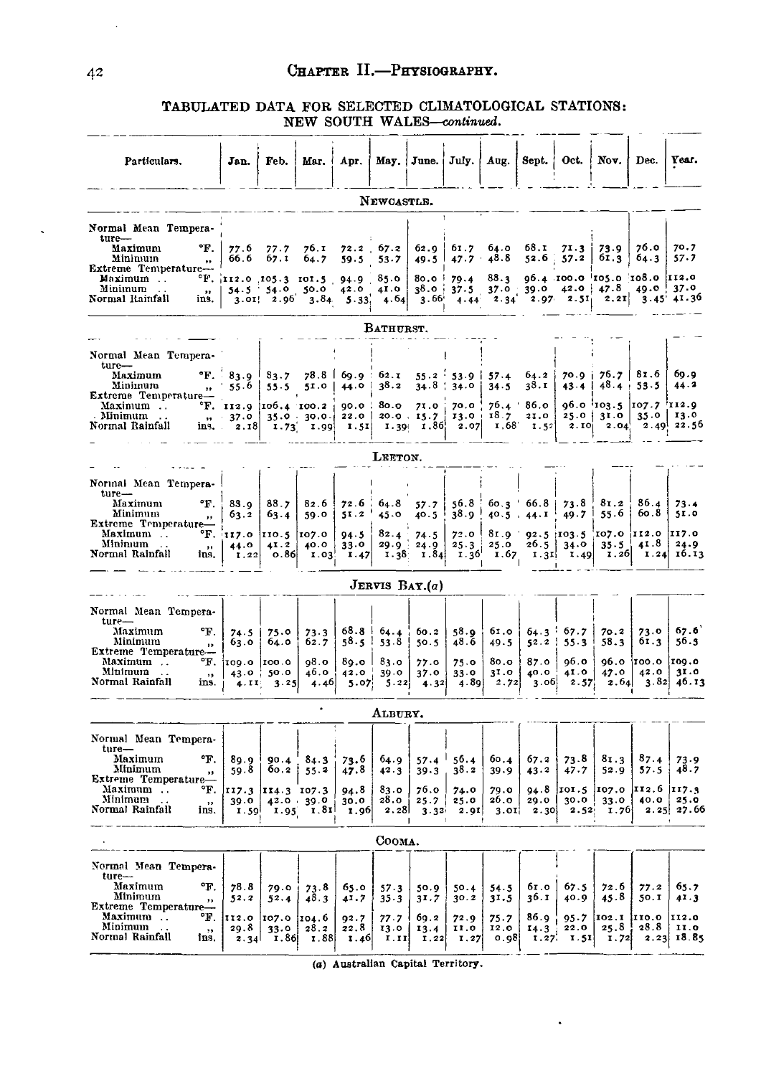#### TABULATED DATA FOR SELECTED CLIMATOLOGICAL STATIONS: NEW SOUTH WALES-continued.

| Particulars.                                                  | Jan.                               | Feb.                | Mar.                                                                     | Apr.                   | May.1                     | June.             | July.                        | Aug.                     | Sept.                                 | Oct.                    | Nov.                                                                                                                                                          | Dec.                  | Year.                     |
|---------------------------------------------------------------|------------------------------------|---------------------|--------------------------------------------------------------------------|------------------------|---------------------------|-------------------|------------------------------|--------------------------|---------------------------------------|-------------------------|---------------------------------------------------------------------------------------------------------------------------------------------------------------|-----------------------|---------------------------|
|                                                               |                                    |                     |                                                                          |                        | NEWCASTLE.                |                   |                              |                          |                                       |                         |                                                                                                                                                               |                       |                           |
| Normal Mean Tempera-<br>ture-                                 |                                    |                     |                                                                          |                        |                           |                   |                              |                          |                                       |                         |                                                                                                                                                               |                       |                           |
| °F.<br>Maximum<br>Minimum<br>,,                               | 77.6<br>66.6                       | 77.7<br>67.1        | 76. I<br>64.7                                                            | 59.5                   | $72.2 \quad 67.2$<br>53.7 | 62.9<br>49.5      | 47.7                         | $61.7\quad 64.0$<br>48.8 | 68.I<br>52.6.                         | 71.3<br>57.2            | 73.9<br>61.3                                                                                                                                                  | 76.0<br>64.3          | 70.7<br>57.7              |
| Extreme Temperature---<br>Maximum<br>Minimum<br>$\sim$<br>yy. |                                    |                     | $^{\circ}$ F. 112.0 105.3 101.5 94.9 85.0<br>$54.5$ $54.0$ $50.0$ $42.0$ |                        | 41.0                      |                   | $80.0$ $79.4$                | 88.3                     |                                       |                         | $0.4$ $100.0$ $105.0$ $108.0$ $112.0$<br>$3^8.0$ $3^7.5$ $37.0$ $39.0$ $42.0$ $47.8$ $49.0$ $37.0$<br>$3.66$ $4.44$ $2.34$ $2.97$ $2.51$ $2.21$ $3.45$ $41.3$ |                       |                           |
| Normal Rainfall<br>ins.                                       |                                    | $3.01$ 2.96         |                                                                          | $3.84$ $5.33$ , $4.64$ |                           |                   |                              |                          |                                       |                         |                                                                                                                                                               |                       | $3.45'$ $41.36$           |
|                                                               |                                    |                     |                                                                          |                        | BATHURST.                 |                   |                              |                          |                                       |                         |                                                                                                                                                               |                       |                           |
| Normal Mean Tempera-<br>ture-                                 |                                    |                     |                                                                          |                        |                           |                   |                              |                          |                                       |                         |                                                                                                                                                               |                       |                           |
| Maximum<br>Minimum<br>$\mathbf{r}$<br>Extreme Temperature-    | $\text{F.} \ \ \ \ \ 83.9$<br>55.6 | 83.7<br>55.5        | $78.8$  <br>5I.0                                                         | 44.0                   | $69.9 \pm 62.1$<br>38.2   |                   | $55.2$ 53.9  <br>$34.8$ 34.0 | 57.4<br>34.5             | 64.2<br>38.I                          | 43.4                    | $70.9$   $76.7$                                                                                                                                               | 81.6<br>$48.4 + 53.5$ | 60.9<br>44.2              |
| Maximum<br>Minimum                                            | $\mathrm{F.}$ II2.9<br>, 37.0      | 106.4 100.2         | 35.0.30.0.                                                               | 90.0<br>22.0           | 80.0                      | 71.0<br>20.0.15.7 | 70.0                         | $13.0 + 18.7$            | $76.4$ 86.0<br>21.0                   |                         | $96.0$ 103.5<br>$25.0$   31.0                                                                                                                                 | 107.7 112.9<br>35.0   | 13.0                      |
| Normal Rainfall                                               | ins. 2.18                          |                     | $1.73$ $1.99$                                                            | I.5I                   |                           |                   | 1.39 $1.86$ 2.07             |                          | $1,68$ $1.52$                         | 2.10                    | 2.04                                                                                                                                                          |                       | $2.49$ $22.56$            |
|                                                               |                                    |                     |                                                                          |                        | LEETON.                   |                   |                              |                          |                                       |                         |                                                                                                                                                               |                       |                           |
| Normal Mean Tempera-                                          |                                    |                     |                                                                          |                        |                           |                   |                              |                          |                                       |                         |                                                                                                                                                               |                       |                           |
| $ture-$<br>°F.<br>Maximum<br>Minimum<br>$\mathbf{r}$          | 83.9<br>63.2                       | 88.7<br>63.4        | 82.6<br>59.0                                                             | 72.6<br>51.2           | 64.8<br>45.0              | 57.7<br>40.5      | 56.8                         |                          | $60.3 \t66.8$<br>$38.9$ $40.5$ $44.1$ | 73.8<br>49.7            | 81.2<br>55.6                                                                                                                                                  | 86.4<br>60.8          | 73.4<br>5I.0              |
| Extreme Temperature-<br>°F.<br>Maximum                        | 117.0                              | 110.5 107.0         |                                                                          | 94.5                   | 82.4                      | 74.5              | 72.0                         |                          |                                       |                         | $81.9$ $92.5$ $103.5$ $107.0$ $112.0$                                                                                                                         |                       | 117.0                     |
| Minimum<br>$\bullet\bullet$<br>Normal Rainfall<br>ins.        | 44.0<br>1.22                       | 41.2<br>0.86        | 40.0<br>1.03                                                             | 33.0<br>1.47           | 29.9                      | 24.9              | 25.3<br>$1.38$ $1.84$ $1.36$ | 25.0<br>I.67             | 26.5                                  | 34.0                    | 35.5<br>$1.31$ $1.49$ $1.26$                                                                                                                                  | 41.8<br>1.24          | 24.9<br>16.13             |
|                                                               |                                    |                     |                                                                          |                        |                           | JERVIS $BAY.(a)$  |                              |                          |                                       |                         |                                                                                                                                                               |                       |                           |
| Normal Mean Tempera-<br>$ture-$                               |                                    |                     |                                                                          |                        |                           |                   |                              |                          |                                       |                         |                                                                                                                                                               |                       |                           |
| Maximum<br>°F.<br>Minimum<br>$\mathbf{D}$                     | 74.5<br>63.0                       | 75.0<br>64.0        | 73.3<br>62.7                                                             | 58.5                   | $68.8$ $64.4$<br>$53 - 8$ | 60.2<br>50.5      | 58.9<br>48.6                 | 61.0<br>49.5             | 52.2                                  | $64.3 \t{67.7}$<br>55.3 | 70.2<br>58.3                                                                                                                                                  | 73.0<br>61.3          | 67.6<br>56.5              |
| Extreme Temperature-<br>Maximum<br>°F.                        | 109.0                              | 100.0               | 98.O                                                                     |                        | $89.0$   $83.0$           | 77.0              | 75.0                         | 80.0                     | 87.0                                  | 96.0                    |                                                                                                                                                               | $96.0$ 100.0          | 109.0                     |
| Minimum<br>$\sim$ $\sim$<br>$, \,$<br>Normal Rainfall<br>ins. | 43.0<br>4.II                       | 50.0<br>3.25        | 46.0<br>4.46                                                             | 42.0<br>5.07           | 39.0<br>5.22              | 37.0<br>4.32      | 33.0<br>4.89                 | 31.0<br>2.72             | 40.0<br>3.06                          | 41.0<br>2.57            | 47.0<br>2.64                                                                                                                                                  | 42.0                  | 31.0<br>$3.82 \mid 40.13$ |
|                                                               |                                    |                     | $\bullet$                                                                |                        | ALBURY.                   |                   |                              |                          |                                       |                         |                                                                                                                                                               |                       |                           |
| Normal Mean Tempera-                                          |                                    |                     |                                                                          |                        |                           |                   |                              |                          |                                       |                         |                                                                                                                                                               |                       |                           |
| $t$ ure $-$<br>Maximum<br>°F.<br>Minimum<br>$\mathbf{H}$      | 89.9<br>59.8                       | $60.2$ !            | $90.4 \times 84.3$<br>55.2                                               | 73.6<br>47.8           | 64.9<br>42.3              | 39.3              | $57.4$ 56.4<br>38.2          | 60.4<br>39.9             | 67.2<br>43.2                          | 73.8<br>47.7            | 81.3<br>52.9                                                                                                                                                  | 87.4<br>57.5          | 73.9<br>48.7              |
| Extreme Temperature-<br>Maximum<br>°F.                        |                                    | 117.3   114.3 107.3 |                                                                          | 94.8                   | 83.0                      | 76.o              | 74.0                         | 79.0                     | 94.8                                  |                         | $101.5$ $ 107.0$                                                                                                                                              | II2.6                 | II7.3                     |
| Minimum<br>, ,<br>Normal Rainfall<br>ins.                     | 39.0                               |                     | 42.0 39.0<br>$1.59$ $1.95$ $1.81$                                        | 30.0<br><b>1.96</b>    | 28.O<br>2.28              | 25.7              | 25.0<br>$3.32$ $2.91$        | 26.0                     | 29.0<br>$3.01$ 2.30                   |                         | $30.0$ 33.0<br>$2.52$ $1.76$                                                                                                                                  | 40.0                  | 25.0<br>$2.25$ $27.66$    |
|                                                               |                                    |                     |                                                                          |                        | Соома.                    |                   |                              |                          |                                       |                         |                                                                                                                                                               |                       |                           |
| Normal Mean Tempera-                                          |                                    |                     |                                                                          |                        |                           |                   |                              |                          |                                       |                         |                                                                                                                                                               |                       |                           |
| $t$ ure $-$<br>Maximum<br>°F.<br>Minimum                      | 78.8<br>52.2                       | 79.0<br>52.4        | 73.8<br>48.3                                                             | 65.0<br>41.7           | 57.3<br>35.3              | 50.9<br>31.7      | 50.4<br>30.2                 | 54.5<br>31.5             | 61.O<br>36.I                          | 67.5<br>40.9            | 72.6<br>45.8                                                                                                                                                  | 77.2<br>50.1          | 65.7<br>41.3              |
| $\pmb{\cdot}$<br>Extreme Temperature<br>Maximum<br>°F.        | 112.0                              | 107.0 104.6         |                                                                          | 92.7                   | 77.7                      | 69.2              | 72.9                         | 75.7                     | 86.9                                  | 95.7                    | $[102.1]$ $[110.0]$                                                                                                                                           |                       | 112.0                     |
| Minimum<br>$\mathbf{z}\mathbf{z}$<br>Normal Rainfall<br>ins.  | 29.8                               | 33.0                | 28.2<br>2.34 $\vert$ 1.86 1.88                                           | 22.8<br>1.46           | 13.0<br>I.II              | 13.4<br>1.22      | 11.0<br>1.27                 | 12.0<br>0.98             | 14.3                                  | 22.0<br>$1.27$ ; $1.51$ | 25.8<br>1.72                                                                                                                                                  | 28.8                  | 11.0<br>$2.23$ 18.85      |
|                                                               |                                    |                     |                                                                          |                        |                           |                   |                              |                          |                                       |                         |                                                                                                                                                               |                       |                           |

(a) Australian Capital Territory.

 $\hat{\phantom{a}}$ 

 $\mathbb{R}^2$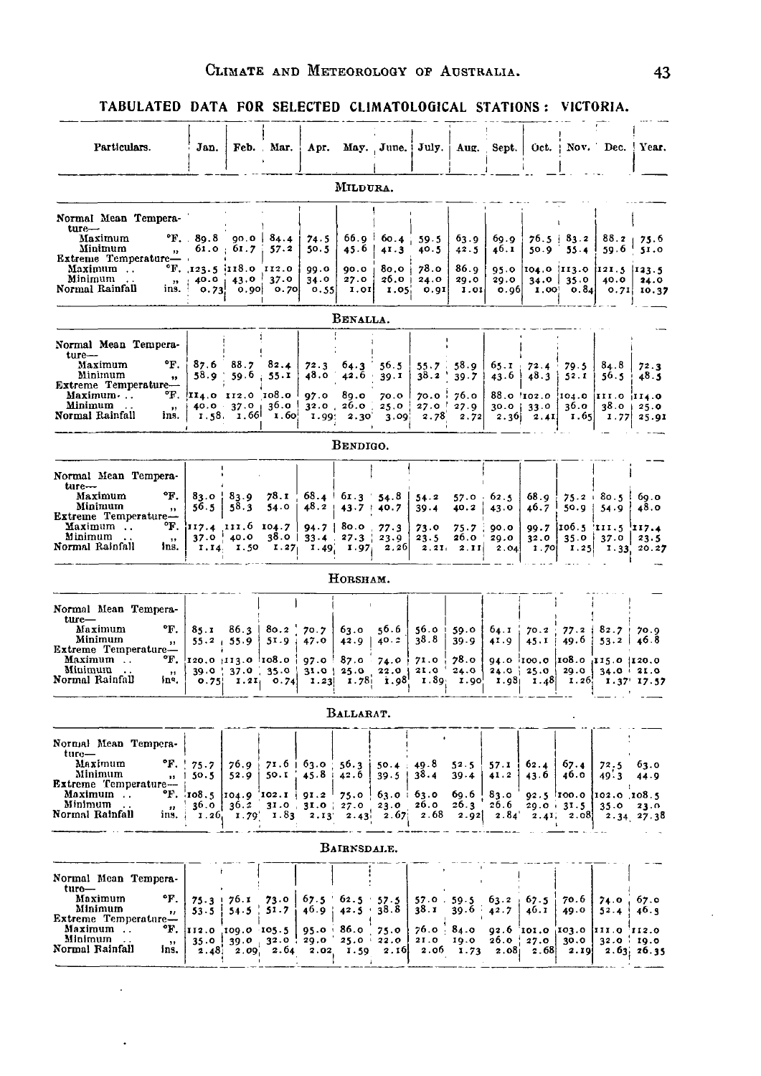#### TABULATED DATA FOR SELECTED CLIMATOLOGICAL STATIONS: VICTORIA. للمحتمل

| Particulars.                                                                                    | Jan.                                     |                  | Feb. Mar.                                 | Apr.                        |                                                                                                       | May. June.                            | July.                              |                                     | Aug. Sept.            |                                           | $Oct. + Nov. - Dec.$        |                                                                                                           | Year.                |
|-------------------------------------------------------------------------------------------------|------------------------------------------|------------------|-------------------------------------------|-----------------------------|-------------------------------------------------------------------------------------------------------|---------------------------------------|------------------------------------|-------------------------------------|-----------------------|-------------------------------------------|-----------------------------|-----------------------------------------------------------------------------------------------------------|----------------------|
|                                                                                                 |                                          |                  |                                           |                             | MILDURA.                                                                                              |                                       |                                    |                                     |                       |                                           |                             |                                                                                                           |                      |
| Normal Mean Tempera-<br>$ture-$                                                                 |                                          |                  |                                           |                             |                                                                                                       |                                       |                                    |                                     |                       |                                           |                             |                                                                                                           |                      |
| Maximum<br>Minimum<br>$\mathbf{B}$<br>Extreme Temperature-                                      | $\text{P.F.}$ 89.8 90.0 84.4             | $61.0 \pm 61.7$  | 57.2                                      | 74.5<br>50.5                | 45.6                                                                                                  | $66.9 \t60.4 \t39.5$<br>41.3          | 40.5                               | 63.9<br>42.5                        | 69.9<br>46.1          | 50.9                                      | $76.5 \pm 83.2$<br>$55 - 4$ | 88.2 <sub>1</sub><br>59.6                                                                                 | 75.6<br>51.0         |
| Maximum<br>Minimum<br>$\boldsymbol{\mathcal{Y}}$<br>Normal Rainfall<br>ıns.                     | $\text{F.}$ , 123.5 i118.0 112.0<br>0.73 | $40.0$   43.0    | 37.0<br>$[0.90]$ $[0.70]$                 | 99.0<br>34.0<br>0.55        | 90.0<br>27.0<br>I.0I                                                                                  | 80.O<br>$26.0 +$<br>I.05 <sub>1</sub> | 78.o<br>24.0<br>0.91               | 86.9<br>29.0<br>1.01                | 29.0<br>0.96          | 1,00                                      | $34.0$   35.0<br>0.84       | 95.0 104.0 113.0 121.5 123.5<br>40.0                                                                      | 24.0<br>$0.71$ 10.37 |
|                                                                                                 |                                          |                  |                                           |                             | BENALLA.                                                                                              |                                       |                                    |                                     |                       |                                           |                             |                                                                                                           |                      |
| Normal Mean Tempera-<br>$ture-$                                                                 |                                          |                  |                                           |                             |                                                                                                       |                                       |                                    |                                     |                       |                                           |                             |                                                                                                           |                      |
| °F.<br>Maximum<br>Minimum<br>$^{\bullet}$<br>Extreme Temperature-                               | 87.6<br>58.9 .                           | 88.7<br>59.6.    | 82.4<br>55.1                              | 72.3<br>48.0                | 64.3<br>$42.\bar{6}$                                                                                  | 56.5<br>39.1                          | 55.7<br>38.2                       | 58.9<br>39.7                        | 65.1<br>43.6          | 72.4<br>48.3                              | 79.5<br>52.1                | 84.8<br>56.5                                                                                              | 72.3<br>48.5         |
| Maximum ·<br>Minimum<br>$\mathbf{r}$<br>Normal Rainfall<br>ins.                                 | $\text{°F.}$ (II4.0 112.0 108.0)         | 40.0 37.0        | 36.O<br>$1.58$ $1.66$ $1.60$              | 97.0                        | 89.0<br>$32.0$ , $20.0$ .<br>1.99: 2.30                                                               | 70.0<br>25.0<br>3.09                  | 70.0<br>27.0<br>2.78               | 76.o<br>27.9<br>2.72                | $30.0$                | 88.0 102.0 104.0<br>33.0<br>$2.36$ $2.41$ | 36.0<br>I.65                | III.0III4.0<br>38.0<br>1.77                                                                               | 25.0<br>25.91        |
|                                                                                                 |                                          |                  |                                           |                             | BENDIGO.                                                                                              |                                       |                                    |                                     |                       |                                           |                             |                                                                                                           |                      |
| Normal Mean Tempera-                                                                            |                                          |                  |                                           |                             |                                                                                                       |                                       |                                    |                                     |                       |                                           |                             |                                                                                                           |                      |
| ture-<br>°F.<br>Maximum<br>Minimum<br>,,                                                        | 83.0   83.9<br>56.5                      | 58.3             | 78.I<br>54.0                              | 48.2 <sub>1</sub>           | $68.4$ 61.3 54.8<br>$43.7 + 40.7$                                                                     |                                       | 54.2<br>$39 - 4$                   | 57.0<br>40.2                        | 62.5<br>43.0          | 68.g<br>46.7                              | 50.9                        | $75.2 + 80.5$<br>54.9                                                                                     | 60.O<br>48,0         |
| Extreme Temperature-<br>°F.<br>Maximum<br>Minimum<br>$\cdot$ .<br>12<br>Normal Rainfall<br>Ins. | 117.4 111.6 104.7                        | $37.0$ $40.0$    |                                           |                             | $94.7$   80.0<br>$38.0$   $33.4$ $.27.3$  <br>1.14 1.50 1.27 1.49 1.97 2.26 2.21 2.11                 | 77.3<br>23.9                          | 73.0<br>23.5                       | 75.7<br>26.O                        | 90.0<br>29.0<br>2.04  | 32.0<br>1.70                              | 35.0                        | 99.7 106.5 111.5 117.4<br>37.0<br>$1.25$ $1.33$ 20.27                                                     | 23.5                 |
|                                                                                                 |                                          |                  |                                           |                             | HORSHAM.                                                                                              |                                       |                                    |                                     |                       |                                           |                             |                                                                                                           |                      |
| Normal Mean Tempera-                                                                            |                                          |                  |                                           |                             |                                                                                                       |                                       |                                    |                                     |                       |                                           |                             |                                                                                                           |                      |
| $_{\text{ture-}}$<br>°F.<br>Maximum<br>Minimum<br>$\pmb{\cdot}$<br>Extreme Temperature-         | 85.1                                     | $55.2 + 55.9$    | 86.3   80.2  <br>51.9                     | 70.7<br>47.0                | ნვ.ი<br>42.9                                                                                          | 56.6<br>40.2                          | 56.0 i<br>38.8                     | 59.0<br>39.9                        | 64.1<br>41.9          | 70.2<br>45.1                              | $77.2$  <br>49.6            | $82.7 +$<br>$53.2$                                                                                        | 70.9<br>46.8         |
| °F.<br>Maximum<br>Minimun<br>$, \, \cdot$<br>Normal Rainfall<br>١n٩,                            | 120.0  113.0  108.0                      |                  | $39.0$ $\mid$ $37.0$ $\mid$ $35.0$ $\mid$ | 97.0                        | 87.0<br>$31.0$   25.0<br>$\begin{bmatrix} 0.75 \end{bmatrix}$ 1.21 0.74 1.23 1.78 1.98 1.98 1.89 1.90 | 74.0                                  | 71.0<br>$22.0$   21.0 <sup>'</sup> | 78.o<br>24.0                        |                       |                                           |                             | 94.0 100.0 108.0 115.0 120.0<br>$24.0$ $25.0$ $29.0$ $34.0$ $21.0$<br>$1.98$ $1.48$ $1.26$ $1.37$ $17.57$ |                      |
|                                                                                                 |                                          |                  |                                           |                             | BALLARAT.                                                                                             |                                       |                                    |                                     |                       |                                           |                             |                                                                                                           |                      |
| Normal Mean Tempera-                                                                            |                                          |                  |                                           |                             |                                                                                                       |                                       |                                    |                                     |                       |                                           |                             |                                                                                                           |                      |
| ture—<br>°F.<br>Maximum<br>Minimum<br>$\boldsymbol{\mathsf{11}}$<br>Extreme Temperature-        | 75.7<br>50.5                             | $76.9$ i<br>52.9 | 50.I                                      | $71.6 + 63.0$<br>45.8<br>-4 | 56.3<br>42.6                                                                                          | 50.4<br>39.5                          | 49.8<br>38.4                       | 52.5<br>39.4                        | 57.1<br>41.2          | 62.4<br>43.61                             | 67.4<br>46.0                | 72.5<br>49.3                                                                                              | 63.0<br>44.9         |
| Maximum<br>Minimum<br>$\overline{11}$<br>Normal Rainfall<br>ins.                                | "F. $108.5$ $104.9$ $102.1$ $91.2$       | 36.0 36.2        | $1.26$ , $1.79$ , $1.83$                  | 2.13                        | 75.0<br>$31.0$ $31.0$ $27.0$<br>2.43                                                                  | $63.0 \pm 63.0$<br>23.0<br>2.67       | 26.0<br>2.68                       | 60.6<br>26.3<br>2.92                | 83.0<br>26.6<br>2.84' | 92.5 100.0                                | $20.0 + 31.5$               | [102.0 108.5]<br>35.0<br>$2.41$ , $2.08$ $2.34$ $27.38$                                                   | 23.0                 |
|                                                                                                 |                                          |                  |                                           |                             | BAIRNSDALE.                                                                                           |                                       |                                    |                                     |                       |                                           |                             |                                                                                                           |                      |
| Normal Mean Tempera-                                                                            |                                          |                  |                                           |                             |                                                                                                       |                                       |                                    |                                     |                       |                                           |                             |                                                                                                           |                      |
| ture—<br>Maximum<br>°F.<br>Minimum<br>$\pmb{\cdot}$                                             | $75.3$ !<br>53.5                         | 76.I<br>54.5     | 73.0<br>51.7                              | 67.5<br>$46.9$ :            | $62.5 \div 57.5$<br>$42.5 \cdot 38.8$                                                                 |                                       | 38. x                              | $57.0$ $59.5$ $63.2$ $67.5$<br>39.6 | 42.7                  | 40.1                                      | 70.6<br>49.0                | $74.0$ ,<br>$52.4$ !                                                                                      | 67.o<br>40.9         |
| Extreme Temperature-<br>Maximum<br>°F.<br>Minimum<br>$\,$                                       | 112.0<br>$35.0$ !                        | 109.0 105.5      | 39.0 32.0 $\frac{1}{2}$                   | 95.0<br>29.0                | 86.o<br>$25.0 \pm 22.0$                                                                               | 75.0                                  | 76.0 84.0<br>21.0                  | 19.0                                | 92.6 101.0<br>26.0    | 27.0                                      | 103.0<br>30.0               | III.0 112.0 <br>$32.0 \div 19.0$                                                                          |                      |
| Normal Rainfall<br>ins.                                                                         |                                          |                  | $2.48$ ; $2.09$ , $2.64$                  | 2.02                        | I.59                                                                                                  | 2.16                                  |                                    | $2.06$ 1.73                         | 2.08 <sub>1</sub>     | 2.68                                      | 2.19                        |                                                                                                           | 2.63, 26.35          |

 $\overline{\phantom{a}}$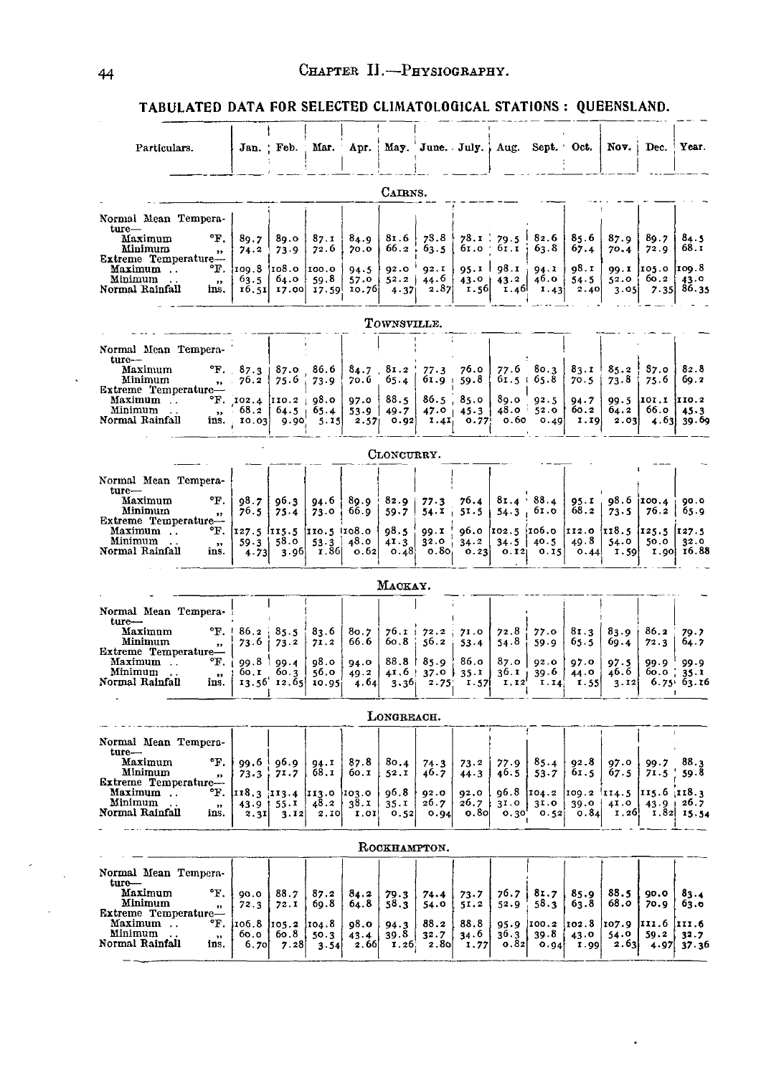TABULATED DATA FOR SELECTED CLIMATOLOGICAL STATIONS : QUEENSLAND.

| Particulars.                                                                  |                                              | Jan. Feb.                   | Mar.                  | Apr.                      |                            |                           |                      | May. June. July.; Aug.                  | Sept. Oct.                         |                      | Nov.                                   | Dec.                     | Year.                      |
|-------------------------------------------------------------------------------|----------------------------------------------|-----------------------------|-----------------------|---------------------------|----------------------------|---------------------------|----------------------|-----------------------------------------|------------------------------------|----------------------|----------------------------------------|--------------------------|----------------------------|
|                                                                               |                                              |                             |                       |                           | CAIRNS.                    |                           |                      |                                         |                                    |                      |                                        |                          |                            |
| Normal Mean Tempera-                                                          |                                              |                             |                       |                           |                            |                           |                      |                                         |                                    |                      |                                        |                          |                            |
| $ture-$<br>°F.<br>Maximum<br>Minimum<br>"                                     | 89.7<br>74.2                                 | 80.0<br>73.9                | 87.1<br>72.6          | 84.9<br>70.0              | 81.6<br>66.2               | 78.8<br>63.5              |                      | $78.1 \div 79.5 \pm 1$<br>61.0 61.1     | 82.6<br>63.8                       | 85.6<br>67.4         | 87.9<br>70.4                           | 89.7<br>72.9             | 84.5<br>68.I               |
| Extreme Temperature-<br>°F.<br>Maximum<br>Minimum<br>$\overline{\mathbf{12}}$ | 109.8  108.0<br>63.5                         | 64.0                        | [100.0]<br>59.8       | 94.5<br>57.0              | 92.0<br>52.2               | 92.1<br>44.6              | $43.0 +$             | $95.1$   $98.1$  <br>43.2               | 94. I<br>46.0                      | 98.I<br>54.5         | 52.0                                   | 99.1 105.0 109.8<br>60.2 | 43.0                       |
| Normal Rainfall<br>ins.                                                       | 16.51                                        |                             |                       | 17.00 17.59 10.76         | 4.37                       | 2.87                      | 1.56                 | 1.46                                    | 1.43                               | 2.40                 | 3.05                                   |                          | $7.35 \mid 86.35$          |
|                                                                               |                                              |                             |                       |                           | TOWNSVILLE.                |                           |                      |                                         |                                    |                      |                                        |                          |                            |
| Normal Mean Tempera-                                                          |                                              |                             |                       |                           |                            |                           |                      |                                         |                                    |                      |                                        |                          |                            |
| ture-<br>Maximum<br>Minimum<br>15 <sub>1</sub><br>Extreme Temperature-        | $\mathrm{^{6}F.} \quad 87.3$<br>76.2         | 87.0<br>75.6                | 86.6<br>73.9          | $84.7$ .<br>70.6          | $81.2$ !<br>65.4           | 77.3<br>61.9 <sub>1</sub> | 76.0<br>59.8         | 77.6<br>61.5:65.8                       | 80.3                               | 83.1<br>70.5         | 85.2<br>73.8                           | 37.0<br>75.6             | 82.8<br>69.2               |
| Maximum<br>Minimum<br>$\ddot{\phantom{0}}$                                    | $\text{F.}$ [102.4 [110.2 ]<br>$68.2$   64.5 |                             | 98.0<br>65.4          | 97.0<br>53.9              | 88.5<br>49.7               | 86.5, 85.0                | $47.0 + 45.3$        | 89.0                                    | 92.5<br>$48.0 \pm 52.0$            | 94.7<br>60.2         | 99.5<br>64.2                           | IOI.I IIO.2<br>66.0      | 45.3                       |
| $\overline{\mathbf{r}}$<br>Normal Rainfall                                    | ins. 10.03                                   | -9.90                       | 5.15                  | 2.57                      | 0.92                       | I.4I <sub>1</sub>         | 0.77                 | о.60                                    | 0.49                               | 1.19                 | 2.03                                   |                          | $4.63$ 39.69               |
|                                                                               |                                              |                             |                       |                           | CLONCURRY.                 |                           |                      |                                         |                                    |                      |                                        |                          |                            |
| Normal Mean Tempera-<br>$ture-$                                               |                                              |                             |                       |                           |                            |                           |                      |                                         |                                    |                      |                                        |                          |                            |
| °F.<br>Maximum<br>Minimum<br>$\bullet$<br>Extreme Temperature-                | 98.7<br>76.5                                 | 96.3<br>75.4                | 94.6<br>73.0          | 89.9 <sup>1</sup><br>66.g | 82.9<br>59.7               | 77.3<br>54.1              | 76.4<br>51.5         | $81.4$ $88.4$<br>54.3                   | 61.0                               | 95.1<br>68.2         | 98.6 100.4<br>73.5                     | 76.2                     | 0.00<br>65.9               |
| °F.<br>Maximum<br>Minimum<br>$\sim$ $\sim$<br>, ,                             | I27.5 II5.5 IIO.5 IIO8.0<br>59.3             | 58.0                        | 53.3                  | 48.0                      | 98.5<br>41.3               | 99.1<br>32.0              | 34.2                 | 96.0 $102.5$ $106.0$<br>$34.5$   $40.5$ |                                    | 49.8                 | $112.0$ $13.5$ $125.5$ $127.5$<br>54.0 | 50.0                     | 32.0                       |
| Normal Rainfall<br>ins.                                                       | 4.73                                         | 3.96                        | r. 36                 | 0.62                      |                            | $0.48$ $0.80$             | 0.23                 |                                         | 0.12 0.15                          | 0.44                 | 1.59                                   |                          | $I.90$ $I6.88$             |
|                                                                               |                                              |                             |                       |                           | MACKAY.                    |                           |                      |                                         |                                    |                      |                                        |                          |                            |
| Normal Mean Tempera-                                                          |                                              |                             |                       |                           |                            |                           |                      |                                         |                                    |                      |                                        |                          |                            |
| $ture-$<br>°F.<br>Maximum                                                     | 86.2                                         | 85.5                        | 83.6                  | 80.7                      | $76.1 + 72.2$              |                           | 71.0                 | 72.8                                    | 77.0                               | 81.3                 | 83.9                                   | 86.2                     | 79.7                       |
| Minimum<br>$\,$<br>Extreme Temperature-                                       | 73.6                                         | 73.2                        | 71.2                  | 66.6                      | 60.8                       | 56.2                      | 53.4                 | 54.8                                    | 59.9                               | 65.5                 | 69.4                                   | 72.3                     | 64.7                       |
| Maximum<br>°F.<br>Minimum<br>$\bullet$<br>Normal Rainfall<br>ins.             | 99.8  <br>60.I                               | 99.4<br>60.3<br>13.56 12.65 | 98.O<br>56.0<br>10.95 | 94.0<br>49.2<br>4.64      | $88.8$  <br>41.6  <br>3.36 | 85.9<br>$37.0$ }<br>2.75  | 86.o<br>35.1<br>1.57 | 87.O<br>36.11<br>1.12                   | 92.0<br>39.6<br>1.14               | 97.0<br>44.0<br>1.55 | 97.5<br>46.6<br>3.12                   | 99.9<br>$60.0$ ;         | 99.9<br>35.1<br>6.75663.16 |
|                                                                               |                                              |                             |                       |                           |                            |                           |                      |                                         |                                    |                      |                                        |                          |                            |
|                                                                               |                                              |                             |                       |                           | LONGREACH.                 |                           |                      |                                         |                                    |                      |                                        |                          |                            |
| Normal Mean Tempera-<br>$ture-$<br>°F.<br>Maximum                             |                                              |                             |                       |                           |                            |                           |                      |                                         |                                    |                      |                                        |                          | 88.3                       |
| Minimum<br>$\mathbf{r}$<br>Extreme Temperature-                               | $73 - 3$                                     | 99.6 96.9<br>71.7           | 94.1<br>68.1          | 87.8<br>60.I              | 80.4<br>52.1               | 74.3<br>46.7              | 73.2<br>44.3         | 77.9<br>46.5                            | 85.4<br>53.7                       | 92.8<br>61.5         | 97.0<br>67.5                           | 99.7<br>71.5             | 59.8                       |
| Maximum<br>°F.<br>Minimum<br>$, \,$                                           | 118.3  113.4  113.0  103.0                   | $43.9$   $55.1$             | 48.2                  | 38.1                      | 96.8<br>35.1               | 02.0<br>26.7              | 92.0<br>26.7         | 96.8<br>3I.0                            | $104.2$ $109.2$ $114.5$<br>$3I$ .0 |                      | $39.0 \pm 41.0$                        | 115.6 118.3              | $43.9 + 26.7$              |
| Normal Rainfall<br>ins.                                                       | 2.3I                                         | 3.12                        | 2.10                  | I.0I                      | 0.52                       | 0.94                      | $o.8$ o              | 0.30'                                   | 0.52                               | o.84l                | 1.26                                   |                          | $1.82$ $15.54$             |
|                                                                               |                                              |                             |                       |                           | ROCKHAMPTON.               |                           |                      |                                         |                                    |                      |                                        |                          |                            |
| Normal Mean Tempera-                                                          |                                              |                             |                       |                           |                            |                           |                      |                                         |                                    |                      |                                        |                          |                            |
| ture—<br>Maximum<br>°F.<br>Minimum<br>$\blacksquare$                          | 90.0<br>72.3                                 | 88.7<br>72.1                | 87.2<br>69.8          | 84.2<br>64.8              | 79.3<br>58.3               | 74.4<br>54.0              | 73.7<br>51.2         | 76.7<br>52.9                            | 81.7<br>58.3                       | 85.9<br>63.8         | 88.5<br>68.0                           | 90.0<br>70.9             | 83.4<br>63.0               |
| Extreme Temperature-<br>Maximum<br>°F.<br>Minimum                             | i106.8<br>60.0                               | 105.2<br>60.8               | <b>104.8</b><br>50.3  | 98.0<br>43.4              | 94.3<br>39.8               | 88.2<br>32.7              | 88.8<br>34.6         | $36.3$                                  | 95.9 100.2<br>39.8                 | 102.8<br>43.0        | 107.9<br>54.0                          | III.6<br>59.2            | III.6 <br>32.7             |
| $\cdots$<br>Normal Rainfall<br>ins.                                           | 6.70                                         | 7.28                        | 3.54                  | 2.66                      | 1.26                       | 2.80                      | 1.77                 | 0.82                                    | 0.94                               | <b>1.99</b>          | 2.63                                   | 4.97                     | 37.36                      |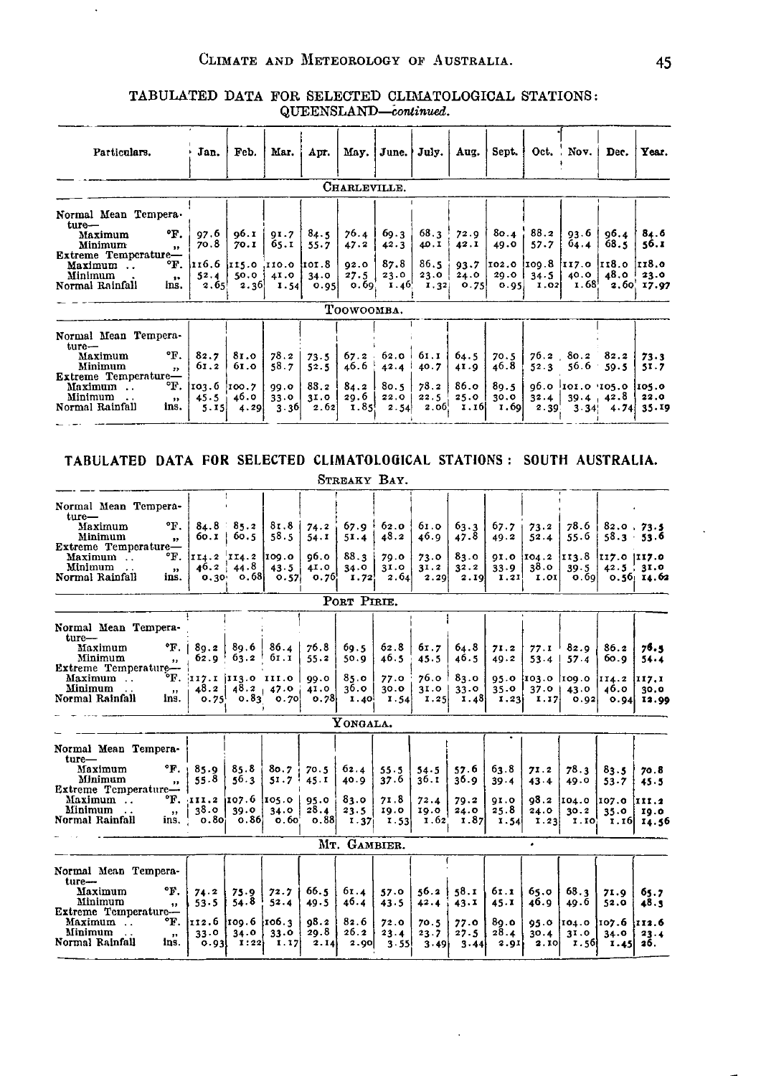$\ddot{\phantom{a}}$ 

## TABULATED DATA FOR SELECTED CLIMATOLOGICAL STATIONS: QUEENSLAND-continued.

| Particulars.                                                                                                                                                                       | Jan.                                         | Feb.                                                       | Mar.                                 | Apr.                                 |                                                     |                                      | May.   June.   July.                              | Aug.                                     | Sept.                                |                               | $Oct.$ Nov.                               | Dec.                                                                             | Year.                         |
|------------------------------------------------------------------------------------------------------------------------------------------------------------------------------------|----------------------------------------------|------------------------------------------------------------|--------------------------------------|--------------------------------------|-----------------------------------------------------|--------------------------------------|---------------------------------------------------|------------------------------------------|--------------------------------------|-------------------------------|-------------------------------------------|----------------------------------------------------------------------------------|-------------------------------|
|                                                                                                                                                                                    |                                              |                                                            |                                      |                                      | CHARLEVILLE.                                        |                                      |                                                   |                                          |                                      |                               |                                           |                                                                                  |                               |
| Normal Mean Tempera.<br>ture—<br>°F.<br>Maximum<br>Minimum<br>$\mathbf{H}$<br>Extreme Temperature-<br>°F.<br>Maximum<br>Minimum<br>$\ddot{\phantom{1}}$<br>Normal Rainfall<br>ins. | $97.6$  <br>70.8<br>52.4<br>2.65             | 96.1<br>70.I<br>116.6 i115.0 .110.0 it01.8<br>50.0<br>2.36 | 91.7<br>65.I<br>41.0<br>1.54         | 84.5<br>55.7<br>34.0<br>0.95         | 76.4<br>47.2<br>92.0<br>27.5<br>0.69.<br>TOOWOOMBA. | 69.3<br>42.3<br>87.8<br>23.0<br>1.46 | 68.3<br>40.I<br>86.5<br>23.0<br>1.32              | 72.9<br>42.1<br>$93 - 7$<br>24.0<br>0.75 | 49.0<br>29.0<br>0.95                 | $80.4$ $88.2$<br>57.7<br>34.5 | $93.6$ J<br>64.4<br>40.0<br>$1.02$ $1.68$ | 96.4<br>68.5<br> 102.0  109.8  117.0  118.0  118.0<br>$48.0$ $^{\circ}$<br>2.60. | 84.6<br>56.I<br>23.0<br>17.97 |
| Normal Mean Tempera-<br>ture—<br>°F.<br>Maximum<br>Minimum<br>$\mathbf{z}$<br>Extreme Temperature-<br>°F.<br>Maximum<br>Minimum<br>$\sim$<br>$, \,$<br>Normal Rainfall<br>ins.     | 82.7<br>61.2<br>103.6 100.7<br>45.5i<br>5.15 | 81.0<br>61.0<br>46.0<br>4.29                               | 78.2<br>58.7<br>99.0<br>33.0<br>3.36 | 73.5<br>52.5<br>88.2<br>31.0<br>2.62 | 67.2<br>46.6<br>84.2<br>29.6<br>1.85!               | 42.4<br>80.5<br>22.0<br>2.54         | $62.0$   $61.1$  <br>40.7<br>78.2<br>22.5<br>2.06 | 64.5<br>41.9<br>86.o<br>25.0<br>1.16     | 70.5<br>46.8<br>89.5<br>30.0<br>1.69 | 52.3<br>32.4                  | $76.2$ $80.2$ $82.2$<br>56.6              | 59.5<br>0.0 0 101.0 105.0 105.0<br>$39.4 + 42.8$<br>$2.39$ $3.34$ $4.74$ $35.19$ | 73.3<br>51.7<br>22.0          |

# TABULATED DATA FOR SELECTED CLIMATOLOGICAL STATIONS: SOUTH AUSTRALIA.

|                                                                                                                                                                                               |                                                    |                                                                                       |                               |                                      | STREAKY BAY.                         |                                      |                                      |                                           |                                      |                                                    |                                              |                                                                   |                                                   |
|-----------------------------------------------------------------------------------------------------------------------------------------------------------------------------------------------|----------------------------------------------------|---------------------------------------------------------------------------------------|-------------------------------|--------------------------------------|--------------------------------------|--------------------------------------|--------------------------------------|-------------------------------------------|--------------------------------------|----------------------------------------------------|----------------------------------------------|-------------------------------------------------------------------|---------------------------------------------------|
| Normal Mean Tempera-<br>ture—<br>°F.<br>Maximum<br>Minimum<br>$\mathbf{v}$<br>Extreme Temperature-<br>°F.<br>Maximum<br>Minimum<br>$\bullet$<br>Normal Rainfall<br>ins.                       |                                                    | $84.8$ $85.2$<br>$60.1 \pm 60.5$<br>II4.2 II4.2 109.0<br>46.2   44.8<br>$0.30\, 0.68$ | 81.8<br>58.5<br>43.5<br>0.57  | 74.2<br>54.1<br>96.O<br>41.0<br>0.76 | 67.9<br>51.4<br>88.3<br>34.0<br>1.72 | 62.0<br>48.2<br>79.0<br>31.0<br>2.64 | 61.0<br>46.9<br>73.0<br>31.2<br>2.29 | 63.3<br>47.8<br>83.0<br>32.2<br>2.19      | 67.7<br>49.2<br>33.9<br>1.21         | 73.2<br>52.4<br>91.0 $104.2$ 113.8<br>38.0<br>1.01 | 78.6<br>55.6<br>39.5<br>0.69                 | $82.0$ 73.5<br>$58.3 - 53.6$<br> II7.0 III7.0<br>$42.5 \div 31.0$ | $0.56$ 14.62                                      |
|                                                                                                                                                                                               |                                                    |                                                                                       |                               |                                      | PORT PIRTE.                          |                                      |                                      |                                           |                                      |                                                    |                                              |                                                                   |                                                   |
| Normal Mean Tempera-<br>$ture-$<br>°F.<br>Maximum<br>Minimum<br>$^{\bullet}$<br>Extreme Temperature--<br>°F.<br>Maximum                                                                       | 8q.2<br>62.0                                       | 89.6<br>63.2<br> 117.1 113.0 111.0 99.0                                               | 86.4<br>61.I                  | 76.8<br>55.2                         | 69.5<br>50.9<br>85.0                 | 62.8<br>46.5<br>77.0                 | 61.7<br>45.5<br>$76.0$ 1             | 64.8<br>46.5<br>83.0                      | 71.2<br>49.2                         | 77.1<br>53.4<br>$95.0$ $103.0$ $109.0$             | 82.9<br>57.4                                 | 86.2<br>60.Q<br> II4.2                                            | 76.1<br>$54 - 4$<br>$\mathbf{117.1}$              |
| Minimum<br>$\mathbf{r}$<br>Normal Rainfall<br>ins.                                                                                                                                            | 48.2<br>0.75                                       | 0.83                                                                                  | $48.2 + 47.0$<br>o. 70        | 41.0<br>0.78                         | 36.0<br>$1.40^{1}$                   | 30.0<br>1.54                         | 3I.0<br>1.25                         | 33.0<br>1.48                              | 35.0<br>1.23                         | 37.01<br>1.17                                      | 43.0<br>0.92                                 | 46.0<br>0.94                                                      | 30.0<br>13.99                                     |
|                                                                                                                                                                                               |                                                    |                                                                                       |                               |                                      | YONGALA.                             |                                      |                                      |                                           |                                      |                                                    |                                              |                                                                   |                                                   |
| Normal Mean Tempera-<br>ture-<br>$\mathbf{F}$ .<br>Maximum<br>Minimum<br>$\bullet$<br>Extreme Temperature-<br>°F.<br>Maximum<br>Minimum<br>$\overline{\mathbf{z}}$<br>Normal Rainfall<br>ins. | 85.9<br>55.8<br>III.2<br>38.O<br>0.80 <sub>1</sub> | 85.8<br>56.3<br> 107.6 105.0 <br>39.0<br>0.86                                         | 80.7<br>51.7<br>34.0<br>o.60' | 70.5<br>45.1<br>95.0<br>28.4<br>0.88 | 62.4<br>40.9<br>83.0<br>23.5<br>1.37 | 55.5<br>37.6<br>71.8<br>10.0<br>1.53 | 54.5<br>36.1<br>72.4<br>10.0<br>1.62 | 57.6<br>36.9<br>79.2<br>24.0<br>I.87      | 63.8<br>39.4<br>QI.0<br>25.8<br>1.54 | 71.2<br>43.4<br>98.2<br>24.0<br>1.23               | 78.3<br>49.0<br>104.0<br>30.2<br><b>I.IO</b> | 83.5<br>53.7<br>107.0<br>35.0<br>1.I <sub>0</sub>                 | 70.8<br>45.5<br>$\mathbf{111.2}$<br>10.0<br>14.56 |
|                                                                                                                                                                                               |                                                    |                                                                                       |                               |                                      | MT. GAMBIER.                         |                                      |                                      |                                           |                                      |                                                    |                                              |                                                                   |                                                   |
| Normal Mean Tempera-<br>ture-<br>°F.<br>Maximum<br>Minimum<br>$\bullet$<br>Extreme Temperature-<br>°F.<br>Maximum<br>Minimum<br>77                                                            | 74.2<br>$53 - 5$<br>II2.6<br>33.0                  | 75.9<br>54.8<br>iroo. 6<br>34.0                                                       | 72.7<br>52.4<br>106.3<br>33.0 | 66.5<br>49.5<br>98.2<br>29.8         | 61.4<br>46.4<br>82.6<br>26.2         | 57.0<br>43.5<br>72.0<br>23.4         | 42.4<br>70.5<br>23.7                 | $56.2$   $58.1$  <br>43.1<br>77.0<br>27.5 | 61.1<br>45.1<br>80.0<br>28.4         | 65.0<br>46.9<br>95.0<br>30.4                       | 68.3<br>49.6<br>104.0<br>31.0                | 71.9<br>52.0<br> 107.6 112.6<br>34.0                              | 65.7<br>48.5<br>23.4                              |
| Normal Rainfall<br>ins.                                                                                                                                                                       | 0.931                                              | I:22                                                                                  | 1.17                          | 2.14                                 | 2.90                                 | 3.55                                 | 3.49 <sub>1</sub>                    | 3.44                                      | 2.91                                 | 2.10                                               | <b>1.56</b>                                  | <b>1.45</b>                                                       | 26.                                               |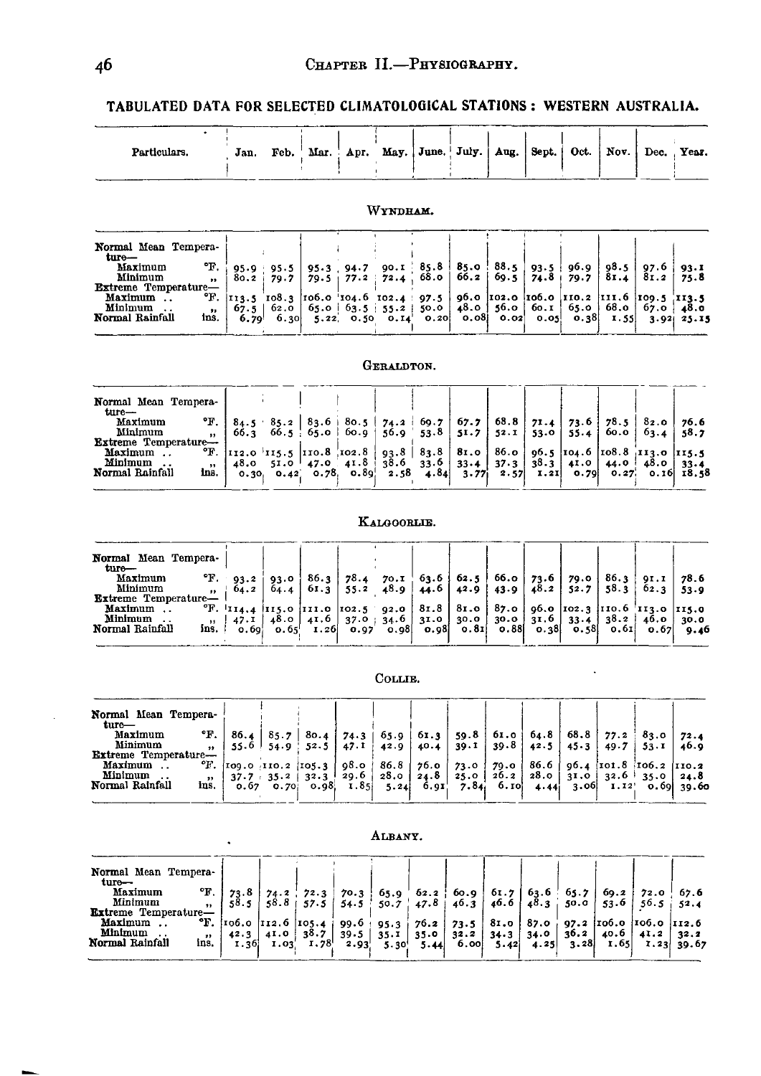TABULATED DATA FOR SELECTED CLIMATOLOGICAL STATIONS: WESTERN AUSTRALIA.

| Particulars. | Jan. | Feb. | Mar. | Apr. | May. June. July.   Aug.   Sept. |  |  | $-$ Oct. | $'$ Nov. | $\Delta$ Dec. | Year. |
|--------------|------|------|------|------|---------------------------------|--|--|----------|----------|---------------|-------|
|              |      |      |      |      |                                 |  |  |          |          |               |       |

#### Normal Mean Tempera-Norman mean<br>
Maximum oF.<br>
Minimum ...<br>
Extreme Temperature...<br>
Maximum ... oF.<br>
Minimum ... 90.1 85.8<br>72.4 68.0  $\frac{98.5}{81.4}$  $85.0$ <br> $66.2$  $88.5$ 96.9<br>79.7  $\frac{97.6}{81.2}$  $95.3$   $94.7$ <br>79.5 77.2  $\begin{array}{c|c} 95.9 & 95.5 \\ 80.2 & 79.7 \end{array}$  $93.5$ <br>74.8  $93.1$ <br> $75.8$  $69.5$  $\mathbf{I}$  $\begin{vmatrix} 1 & 1 & 1 & 1 \\ 6 & 7 & 5 & 62 & 0 \\ 6 & 7 & 9 & 6 & 30 \\ 6 & 7 & 6 & 30 & 6 \end{vmatrix}$ 96.o 106.0 111.6  $\begin{array}{|c|c|c|c|}\n\hline\n109.5 & 113.5 & 67.0 & 48.0 & 3.92 & 25.15\n\end{array}$ 102.0 110.2 Minimum<br>Normal Rainfall  $48.0$  56.0<br>0.08 0.02  $65.0$ <br>0.38 68.0 60.I  $\ln s$ .  $\frac{1}{0.20}$  $0.05$ I.55

#### GERALDTON.

| Normal Mean Tempera-       |                   |                                                                                                                                                                                      |                                           |  |                  |  |  |                                        |  |
|----------------------------|-------------------|--------------------------------------------------------------------------------------------------------------------------------------------------------------------------------------|-------------------------------------------|--|------------------|--|--|----------------------------------------|--|
| ture—<br>Maximum           |                   | $E.   84.5 \cdot 85.2   83.6   80.5   74.2   69.7   67.7   68.8   71.4   73.6   78.5   82.0   76.6$                                                                                  |                                           |  |                  |  |  |                                        |  |
| Minimum                    | $\bullet$         | 66.3 66.5 $\frac{1}{2}$ 65.0 $\frac{1}{2}$ 60.9 $\frac{1}{2}$ 53.8 $\frac{1}{2}$ 52.1 $\frac{1}{2}$ 53.0 $\frac{1}{2}$ 55.4 $\frac{1}{2}$ 60.0 $\frac{1}{2}$ 63.4 $\frac{1}{2}$ 58.7 |                                           |  |                  |  |  |                                        |  |
| <b>Extreme Temperature</b> |                   |                                                                                                                                                                                      |                                           |  |                  |  |  |                                        |  |
| Maximum                    |                   | <sup>o</sup> F.  112.0  115.5  110.8  102.8   93.8   83.8   81.0   86.0   96.5  104.6  108.8  113.0  115.5                                                                           |                                           |  |                  |  |  |                                        |  |
| Minimum                    | $^{\prime\prime}$ | 48.0 51.0 47.0 41.8 38.6 33.6 33.4 37.3 38.3 41.0 44.0 48.0 33.4                                                                                                                     |                                           |  |                  |  |  |                                        |  |
| Normal Rainfall            | ins.              |                                                                                                                                                                                      | $[0.30 \quad 0.42 \quad 0.78 \quad 0.89]$ |  | $2.58$ 4.84 3.77 |  |  | 2.57 $\vert$ 1.21 0.79 0.27 0.16 18.58 |  |

#### KALGOORLIE.

| Normal Mean Tempera-<br>$_{\text{ture}-}$ |        |                        |      |                                                                                                  |  |  |              |                         |      |
|-------------------------------------------|--------|------------------------|------|--------------------------------------------------------------------------------------------------|--|--|--------------|-------------------------|------|
| Maximum                                   |        | $\text{F.} \quad 93.2$ | 93.0 | $86.3$ 78.4 70.1 63.6 62.5 66.0 73.6 79.0                                                        |  |  |              | $86.3$   QI.I   78.6    |      |
| Minimum                                   | $22 -$ | 04.2                   |      | $64.4$   $61.3$   $55.2$ 48.9   $44.6$   $42.9$   $43.9$                                         |  |  | $148.2$ 52.7 | $+58.3$ $+62.3$ $-53.9$ |      |
| <b>Extreme Temperature-</b>               |        |                        |      |                                                                                                  |  |  |              |                         |      |
| Maximum                                   |        |                        |      | <sup>o</sup> F. 114,4 115.0 111.0 102.5 92.0   81.8   81.0   87.0   96.0 102.3 110.6 113.0 115.0 |  |  |              |                         |      |
| Minimum                                   |        | $47.1$                 |      |                                                                                                  |  |  |              |                         | 30.0 |
| Normal Rainfall                           | ins.   | o. 60¦                 |      |                                                                                                  |  |  |              |                         | 9.46 |
|                                           |        |                        |      |                                                                                                  |  |  |              |                         |      |

### COLLIE.

| Normal Mean Tempera-<br>ture— |                  |      |                                                            |  |  |                             |  |  |                                                                                                         |      |
|-------------------------------|------------------|------|------------------------------------------------------------|--|--|-----------------------------|--|--|---------------------------------------------------------------------------------------------------------|------|
| Maximum                       | $\mathbf{F}$ .   | 86.4 | 85.7                                                       |  |  |                             |  |  | 80.4   74.3   65.9   61.3   59.8   61.0   64.8   68.8   77.2   83.0                                     | 72.4 |
| Minimum                       | $\bullet\bullet$ |      | $55.6$   $54.9$   $52.5$   $47.1$   $42.9$   $40.4$        |  |  | $39.1$   39.8   42.5   45.3 |  |  | $49.7$   53.1                                                                                           | 40.0 |
| <b>Extreme Temperature-</b>   |                  |      |                                                            |  |  |                             |  |  |                                                                                                         |      |
| Maximum                       |                  |      |                                                            |  |  |                             |  |  | $E.$ [109.0 [110.2 [105.3   98.0   86.8   76.0   73.0   79.0   86.6   96.4 [101.8 [106.2 ] 110.2        |      |
| Minimum                       | ,,               |      |                                                            |  |  |                             |  |  | $37.7 + 35.2$   $32.3$   $29.6$   $28.0$   $24.8$   $25.0$   $26.2$   $28.0$   $31.0$   $32.6$   $35.0$ | 24.8 |
| Normal Rainfall               | ins.             |      | $\begin{bmatrix} 0.67 & 0.70 \end{bmatrix}$ 0.98 1.85 5.24 |  |  | 6.91 7.84 6.10 4.44         |  |  | $\begin{bmatrix} 3.06 & 1.12 \\ 0.69 & 39.60 \end{bmatrix}$                                             |      |
|                               |                  |      |                                                            |  |  |                             |  |  |                                                                                                         |      |

|                                                       |                          |       |      |                                                                                                                            |      | --------- |      |                                                  |                                                                          |      |                                                                                           |      |
|-------------------------------------------------------|--------------------------|-------|------|----------------------------------------------------------------------------------------------------------------------------|------|-----------|------|--------------------------------------------------|--------------------------------------------------------------------------|------|-------------------------------------------------------------------------------------------|------|
| Normal Mean Tempera-<br>$turo-$<br>Maximum<br>Minimum | $\mathbf{F}$ .           | 73.8  |      | 74.2 72.3 70.3 65.9 62.2 60.9 61.7 63.6 65.7 69.2 72.0 67.6<br>58.8 57.5 54.5 50.7 47.8 46.3 46.6 48.3 50.0 53.6 56.5 52.4 |      |           |      |                                                  |                                                                          |      |                                                                                           |      |
| <b>Extreme Temperature-</b>                           | $\bullet\bullet$         | 58.51 |      | $58.8 + 57.5$                                                                                                              |      |           |      |                                                  |                                                                          |      |                                                                                           |      |
| Maximum<br>Minimum                                    |                          |       |      | <sup>o</sup> F. 106.0 112.6 105.4<br>$42.3$   $41.0$   $38.7$                                                              |      |           |      | $39.5$   35.1   35.0   32.2   34.3   34.0   36.2 |                                                                          |      | 99.6   95.3   76.2   73.5   81.0   87.0   97.2   106.0   106.0   112.6<br>$40.6$   $41.2$ | 32.2 |
| Normal Rainfall                                       | $\bullet\bullet$<br>ins. | 1.36  | 1.03 | 1.78                                                                                                                       | 2.93 | 5.30      | 5.44 | $6.00$ 5.42                                      | $\begin{array}{ c c c c c c } \hline \text{4.25} & \text{.} \end{array}$ | 3.28 | $1.65$ $1.23$ $39.67$                                                                     |      |

**ALBANY** 

# WYNDHAM.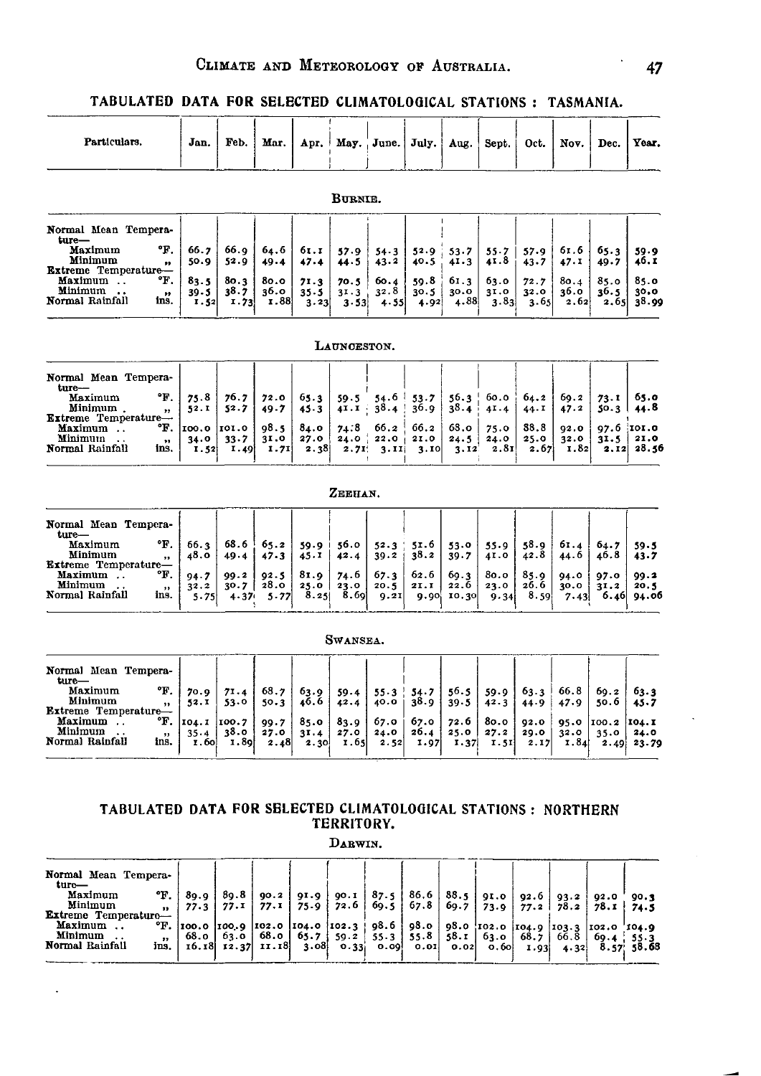|  |  | TABULATED DATA FOR SELECTED CLIMATOLOGICAL STATIONS: TASMANIA. |  |
|--|--|----------------------------------------------------------------|--|
|  |  |                                                                |  |

| Particulars.                                                                                                                                                                                  | Jan.                                         | Feb.                                              | Mar.                                     |                                          | Apr. May.                             | June.                                    | July.                                             | Aug.                                  | Sept.                                | Oct.                                 | Nov.                                 | Dec.                                  | Year.                                        |
|-----------------------------------------------------------------------------------------------------------------------------------------------------------------------------------------------|----------------------------------------------|---------------------------------------------------|------------------------------------------|------------------------------------------|---------------------------------------|------------------------------------------|---------------------------------------------------|---------------------------------------|--------------------------------------|--------------------------------------|--------------------------------------|---------------------------------------|----------------------------------------------|
|                                                                                                                                                                                               |                                              |                                                   |                                          |                                          | BURNIE.                               |                                          |                                                   |                                       |                                      |                                      |                                      |                                       |                                              |
| Normal Mean Tempera-<br>ture-<br>°F.<br>Maximum<br>Minimum<br>$\bullet\bullet$<br><b>Extreme Temperature-</b><br>°F.<br>Maximum<br>Minimum<br>$\pmb{\mathfrak{z}}$<br>Normal Rainfall<br>ins. | 66.7<br>50.9<br>83.5<br>$39 - 5$<br>1.52     | 66.9<br>52.9<br>80.3<br>38.7<br>1.73              | 64.6<br>49.4<br>80.0<br>36.0<br>I.88     | 61.1<br>47.4<br>71.3<br>$35 - 5$<br>3.23 | 57.9<br>44.5<br>70.5<br>31.3<br>3.53  | $54 - 3$<br>43.2<br>60.4<br>32.8<br>4.55 | 52.9<br>40.5<br>59.8<br>30.5<br>4.92              | 53.7<br>41.3<br>61.3<br>30.0<br>4.88  | 55.7<br>41.8<br>63.0<br>31.0<br>3.83 | 57.9<br>43.7<br>72.7<br>32.0<br>3.65 | 61.6<br>47.1<br>80.4<br>36.0<br>2.62 | 65.3<br>49.7<br>85.0<br>36.5<br>2.65  | 59.9<br>46.I<br>85.0<br>30.0<br>38.99        |
|                                                                                                                                                                                               |                                              |                                                   |                                          |                                          | LAUNCESTON.                           |                                          |                                                   |                                       |                                      |                                      |                                      |                                       |                                              |
| Normal Mean Tempera-<br>ture-<br>°F.<br>Maximum<br>Minimum.<br>$\bullet\bullet$<br>Extreme Temperature-<br>°F.<br>Maximum<br>Minimum<br>$\bullet$<br>Normal Rainfall<br>ins.                  | 75.8<br>52.I<br>100.0<br>34.0<br>1.52        | 76.7<br>52.7<br>101.0<br>33.7<br>1.49             | 72.0<br>$49 - 7$<br>98.5<br>31.0<br>1.71 | 65.3<br>45.3<br>84.0<br>27.0<br>2.38     | 59.5<br>4I. I<br>74:8<br>24.0<br>2.71 | 38.4<br>66.2<br>22.0<br>3.11             | $54.6$ 53.7<br>36.9<br>66.2<br>21.0<br>3.10       | 56.3<br>38.4<br>63.0<br>24.5<br>3.12  | 60.0<br>41.4<br>75.0<br>24.0<br>2.81 | 64.2<br>44.1<br>88.8<br>25.0<br>2.67 | 69.2<br>47.2<br>92.0<br>32.0<br>1,82 | 73.1<br>50.3  <br>31.5<br>2.12        | 65.0<br>44.8<br>97.6 IOI.0<br>21.0<br>-28.56 |
|                                                                                                                                                                                               |                                              |                                                   |                                          |                                          | ZEEHAN.                               |                                          |                                                   |                                       |                                      |                                      |                                      |                                       |                                              |
| Normal Mean Tempera-<br>ture-<br>°F.<br>Maximum<br>Minimum<br>$\pmb{\mathfrak{z}}$<br>Extreme Temperature—<br>°F.<br>Maximum<br>Minimum<br>$\bullet$<br>Normal Rainfall<br>ins.               | 66.3<br>48.0<br>94.7<br>32.2<br>5.75         | 68.6<br>49.4<br>99.2<br>30.7<br>4.37 <sub>1</sub> | 65.2<br>47.3<br>92.5<br>28.0<br>$5 - 77$ | 59.9 i<br>45.1<br>81.9<br>25.0<br>8.25   | 56.0<br>42.4<br>74.6<br>23.0<br>8.69  | 52.3<br>39.2<br>67.3<br>20.5<br>9.21     | 51.6<br>38.2<br>62.6<br>2I.1<br>9.90 <sub>i</sub> | 53.0<br>39.7<br>69.3<br>22.6<br>10.30 | 55.9<br>41.0<br>80.0<br>23.0<br>9.34 | 58.9<br>42.8<br>85.9<br>26.6<br>8.59 | 61.4<br>44.6<br>94.0<br>30.0<br>7.43 | 64.7<br>46.8<br>97.0<br>31.2<br>6.46  | 59.5<br>43.7<br>99.2<br>20.5<br>94.06        |
|                                                                                                                                                                                               |                                              |                                                   |                                          |                                          | Swansea.                              |                                          |                                                   |                                       |                                      |                                      |                                      |                                       |                                              |
| Normal Mean Tempera-<br>ture—<br>°F.<br>Maximum<br>Minimum<br>,,<br>${\bf Extreme}$ $\bf Temperature-$<br>°F.<br>Maximum<br>Minimum<br>$, \,$<br>Normal Rainfall<br>ins.                      | 70.0<br>52.I<br>104.1<br>35.4<br><b>1.60</b> | 71.4<br>53.0<br>100.7<br>38.0<br>I.89             | 68.7<br>50.3<br>99.7<br>27.0<br>2.48     | 63.9<br>46.6<br>85.0<br>31.4<br>2.30     | 59.4<br>42.4<br>83.9<br>27.0<br>1.65  | $55.3$ !<br>40.0<br>67.O<br>24.0<br>2.52 | 54.7<br>38.9<br>67.0<br>26.4<br>1.97              | 56.5<br>39.5<br>72.6<br>25.0<br>1.37  | 59.9<br>42.3<br>80.0<br>27.2<br>1.51 | 63.3<br>44.9<br>92.0<br>29.0<br>2.17 | 66.8<br>47.9<br>95.0<br>32.0<br>1.84 | 69.2<br>50.6<br>100.2<br>35.0<br>2.49 | 63.3<br>45.7<br>104.1<br>24.0<br>23.79       |

#### **TABULATED DATA FOR SELECTED CLIMATOLOGICAL STATIONS NORTHERN TERRITORY.**

DABWIN.

| Normal Mean Tempera-<br>ture— |                |       |                          |                                                                                          |  |  |      |            |
|-------------------------------|----------------|-------|--------------------------|------------------------------------------------------------------------------------------|--|--|------|------------|
| Maximum                       | $\mathbf{F}$ . | 80.OL |                          | $89.8$ 90.2 91.9 90.1 87.5 86.6 88.5 91.0 92.6 93.2 92.0                                 |  |  |      | 90.3       |
| Minimum                       | $\bullet$      |       | $77.3$   $77.1$   $77.1$ | 75.9   72.6   69.5   67.8   69.7   73.9   77.2   78.2   78.1   74.5                      |  |  |      |            |
| Extreme Temperature-          |                |       |                          |                                                                                          |  |  |      |            |
| Maximum                       |                |       |                          | <b>E.</b> $ 100.0 100.9 102.0 104.0 102.3 98.6 98.0 03.0 102.0 104.9 103.3 102.0 104.9$  |  |  |      |            |
| Minimum                       |                |       |                          | 68.0   63.0   68.0   65.7   59.2   55.3   55.8   58.1   63.0   68.7   66.8   69.4   55.3 |  |  |      |            |
| Normal Rainfall               | ins.           |       |                          | 16.18 12.37 11.18 3.08 0.33 0.09 0.01 0.02 0.60 1.93                                     |  |  | 4.32 | 8.57 58.68 |
|                               |                |       |                          |                                                                                          |  |  |      |            |

 $\ddot{\phantom{0}}$